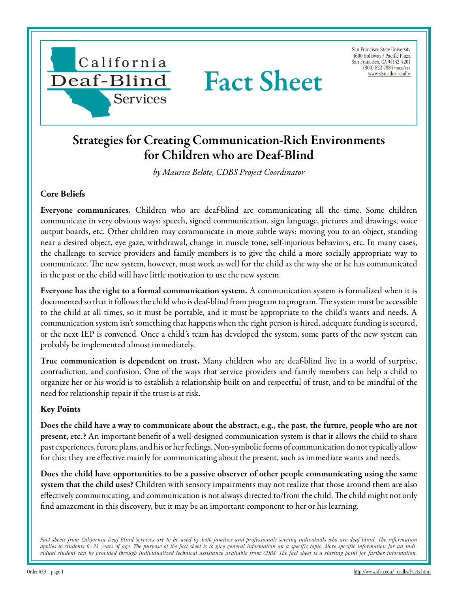

San Francisco State University 1600 Holloway / Pacific Plaza San Francisco, CA 94132-4201 (800) 822-7884 voice/tty [www.sfsu.edu/~cadbs](http://www.sfsu.edu/~cadbs/Facts.htmlwww.sfsu.edu/~cadbs)

## Strategies for Creating Communication-Rich Environments for Children who are Deaf-Blind

Fact Sheet

*by Maurice Belote, CDBS Project Coordinator*

## **Core Beliefs**

Everyone communicates. Children who are deaf-blind are communicating all the time. Some children communicate in very obvious ways: speech, signed communication, sign language, pictures and drawings, voice output boards, etc. Other children may communicate in more subtle ways: moving you to an object, standing near a desired object, eye gaze, withdrawal, change in muscle tone, self-injurious behaviors, etc. In many cases, the challenge to service providers and family members is to give the child a more socially appropriate way to communicate. The new system, however, must work as well for the child as the way she or he has communicated in the past or the child will have little motivation to use the new system.

Everyone has the right to a formal communication system. A communication system is formalized when it is documented so that it follows the child who is deaf-blind from program to program. The system must be accessible to the child at all times, so it must be portable, and it must be appropriate to the child's wants and needs. A communication system isn't something that happens when the right person is hired, adequate funding is secured, or the next IEP is convened. Once a child's team has developed the system, some parts of the new system can probably be implemented almost immediately.

True communication is dependent on trust. Many children who are deaf-blind live in a world of surprise, contradiction, and confusion. One of the ways that service providers and family members can help a child to organize her or his world is to establish a relationship built on and respectful of trust, and to be mindful of the need for relationship repair if the trust is at risk.

## **Key Points**

Does the child have a way to communicate about the abstract, e.g., the past, the future, people who are not present, etc.? An important benefit of a well-designed communication system is that it allows the child to share past experiences, future plans, and his or her feelings. Non-symbolic forms of communication do not typically allow for this; they are effective mainly for communicating about the present, such as immediate wants and needs.

Does the child have opportunities to be a passive observer of other people communicating using the same system that the child uses? Children with sensory impairments may not realize that those around them are also effectively communicating, and communication is not always directed to/from the child. The child might not only find amazement in this discovery, but it may be an important component to her or his learning.

Fact sheets from California Deaf-Blind Services are to be used by both families and professionals serving individuals who are deaf-blind. The information *applies to students 0–22 years of age. The purpose of the fact sheet is to give general information on a specific topic. More specific information for an individual student can be provided through individualized technical assistance available from CDBS. The fact sheet is a starting point for further information.*